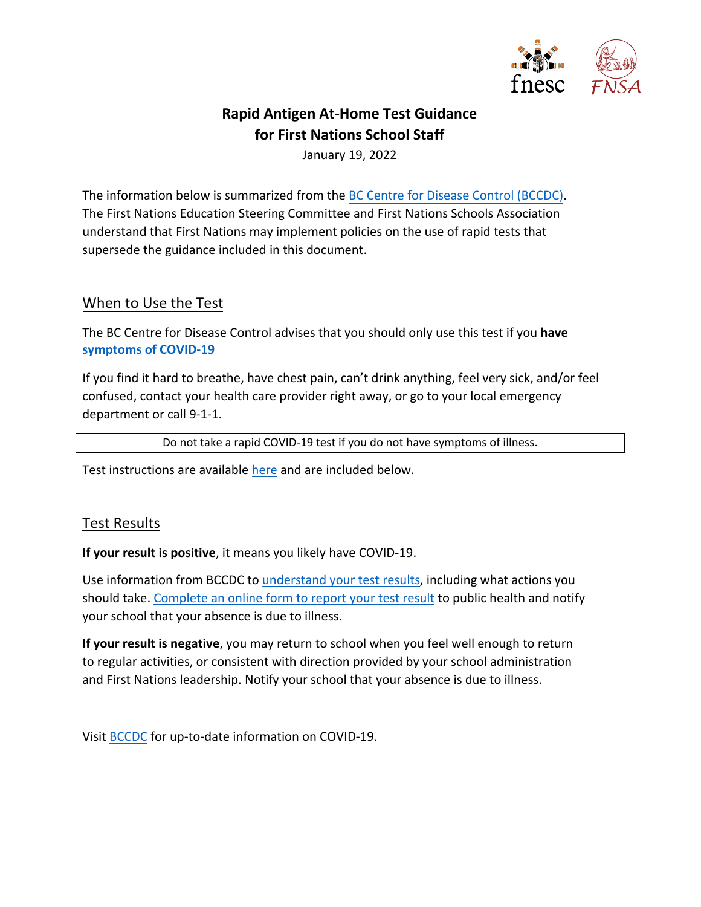

### **Rapid Antigen At-Home Test Guidance for First Nations School Staff**

January 19, 2022

The information below is summarized from the BC [Centre for Disease Control \(BCCDC\).](http://www.bccdc.ca/health-info/diseases-conditions/covid-19) The First Nations Education Steering Committee and First Nations Schools Association understand that First Nations may implement policies on the use of rapid tests that supersede the guidance included in this document.

### When to Use the Test

The BC Centre for Disease Control advises that you should only use this test if you **have [symptoms of COVID-19](http://www.bccdc.ca/health-info/diseases-conditions/covid-19/about-covid-19/symptoms)**

If you find it hard to breathe, have chest pain, can't drink anything, feel very sick, and/or feel confused, contact your health care provider right away, or go to your local emergency department or call 9-1-1.

Do not take a rapid COVID-19 test if you do not have symptoms of illness.

Test instructions are available [here](http://www.bccdc.ca/Health-Info-Site/Documents/COVID-19_Tests/POC_screening/RapidTestInstructions_Artron.pdf) and are included below.

### Test Results

**If your result is positive**, it means you likely have COVID-19.

Use information from BCCDC to [understand your test results, i](http://www.bccdc.ca/health-info/diseases-conditions/covid-19/testing/understanding-test-results)ncluding what actions you should take. [Complete an online form to report your test result](https://reportcovidresults.bccdc.ca/) to public health and notify your school that your absence is due to illness.

**If your result is negative**, you may return to school when you feel well enough to return to regular activities, or consistent with direction provided by your school administration and First Nations leadership. Notify your school that your absence is due to illness.

Visit [BCCDC](http://www.bccdc.ca/health-info/diseases-conditions/covid-19/about-covid-19) for up-to-date information on COVID-19.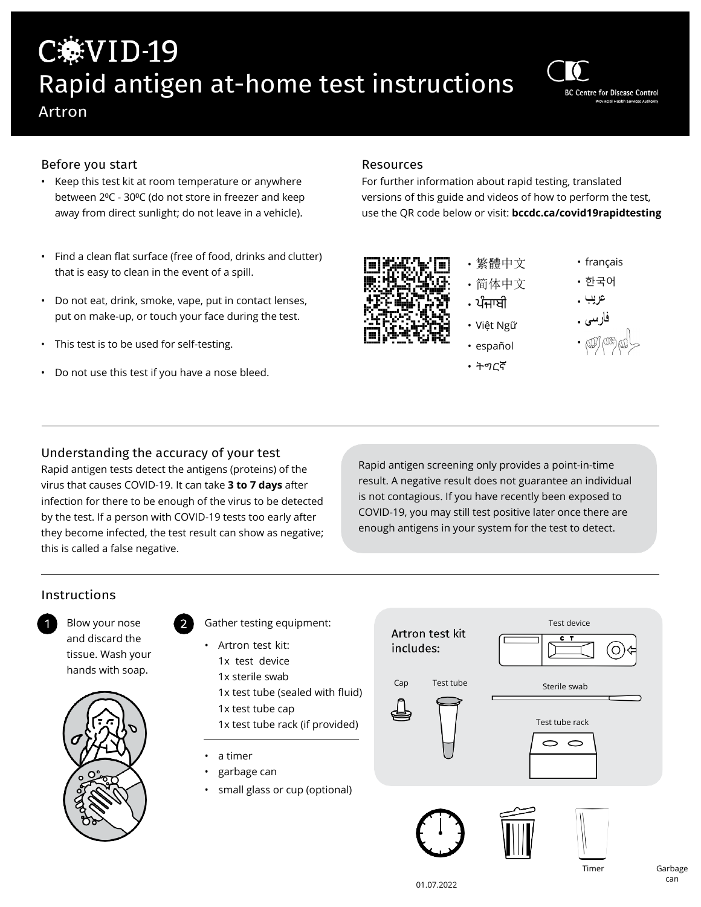### C. VID-19 Rapid antigen at-home test instructions Artron



#### Before you start

- Keep this test kit at room temperature or anywhere between 2°C - 30°C (do not store in freezer and keep away from direct sunlight; do not leave in a vehicle).
- Find a clean flat surface (free of food, drinks and clutter) that is easy to clean in the event of a spill.
- Do not eat, drink, smoke, vape, put in contact lenses, put on make-up, or touch your face during the test.
- This test is to be used for self-testing.
- Do not use this test if you have a nose bleed.

#### Resources

For further information about rapid testing, translated versions of this guide and videos of how to perform the test, use the QR code below or visit: **[bccdc.ca/covid19rapidtesting](http://bccdc.ca/covid19rapidtesting)**



- 繁體中文 • 简体中文
- ਪੰਜਾਬੀ
- Việt Ngữ
- español
- ትግርኛ
- français
- 한국어
- عريب .
- فار سی ۔



### Understanding the accuracy of your test

Rapid antigen tests detect the antigens (proteins) of the virus that causes COVID-19. It can take **3 to 7 days** after infection for there to be enough of the virus to be detected by the test. If a person with COVID-19 tests too early after they become infected, the test result can show as negative; this is called a false negative.

Rapid antigen screening only provides a point-in-time result. A negative result does not guarantee an individual is not contagious. If you have recently been exposed to COVID-19, you may still test positive later once there are enough antigens in your system for the test to detect.

### Instructions



Blow your nose and discard the tissue. Wash your hands with soap.



- Gather testing equipment:
	- Artron test kit: 1x test device 1x sterile swab 1x test tube (sealed with fluid) 1x test tube cap 1x test tube rack (if provided)
	- a timer
	- garbage can
	- small glass or cup (optional)

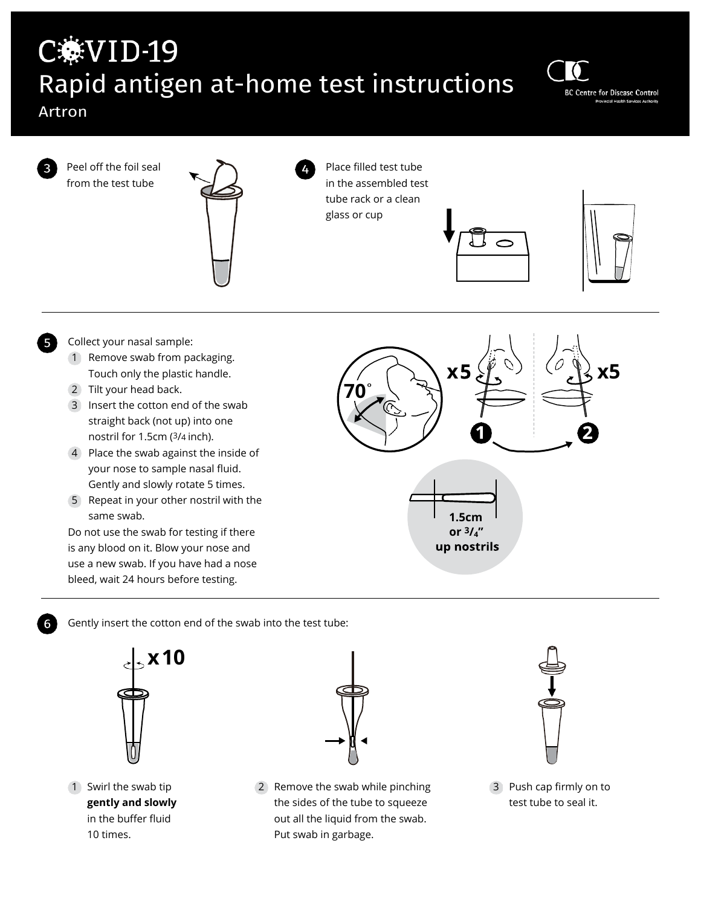# C兼VID-19 Rapid antigen at-home test instructions



### Artron



Peel off the foil seal from the test tube



Place filled test tube in the assembled test tube rack or a clean glass or cup





Collect your nasal sample:

- 1 Remove swab from packaging. Touch only the plastic handle.
- 2) Tilt your head back.
- Insert the cotton end of the swab 3 straight back (not up) into one nostril for 1.5cm (3/4 inch).
- Place the swab against the inside of 4 your nose to sample nasal fluid. Gently and slowly rotate 5 times.
- 5 Repeat in your other nostril with the same swab.

Do not use the swab for testing if there is any blood on it. Blow your nose and use a new swab. If you have had a nose bleed, wait 24 hours before testing.





Gently insert the cotton end of the swab into the test tube:



1 Swirl the swab tip **gently and slowly**  in the buffer fluid 10 times.



1 Swirl the swab tip **1.1 Swirl the swab while pinching** 1.1 Swirl the swab while pinching the sides of the tube to squeeze out all the liquid from the swab. Put swab in garbage.



Push cap firmly on to test tube to seal it.